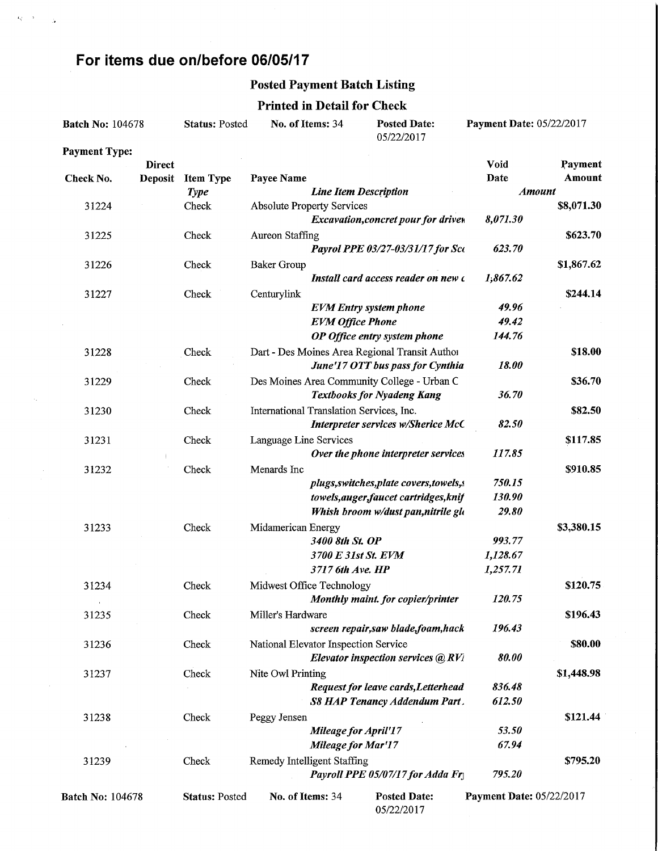### For items due on/before 06/05/17

 $\left\langle Q_{\alpha} \right\rangle$  ,  $\delta$  ,  $\left\langle \right\rangle$  ,  $\frac{1}{\sqrt{2}}$ 

 $\tau_{\rm{f}}$ 

#### Posted Payment Batch Listing

#### Printed in Detail for Check

| <b>Batch No: 104678</b> |                | <b>Status: Posted</b> | No. of Items: 34                         |                              | <b>Posted Date:</b><br>05/22/2017              | <b>Payment Date: 05/22/2017</b> |            |  |
|-------------------------|----------------|-----------------------|------------------------------------------|------------------------------|------------------------------------------------|---------------------------------|------------|--|
| <b>Payment Type:</b>    |                |                       |                                          |                              |                                                |                                 |            |  |
|                         | <b>Direct</b>  |                       |                                          |                              |                                                | Void                            | Payment    |  |
| Check No.               | <b>Deposit</b> | <b>Item Type</b>      | Payee Name                               |                              |                                                | Date                            | Amount     |  |
|                         |                | <b>Type</b>           |                                          | <b>Line Item Description</b> |                                                | <b>Amount</b>                   |            |  |
| 31224                   |                | Check                 | <b>Absolute Property Services</b>        |                              |                                                |                                 | \$8,071.30 |  |
|                         |                |                       |                                          |                              | Excavation, concret pour for drivew            | 8,071.30                        |            |  |
| 31225                   |                | Check                 | <b>Aureon Staffing</b>                   |                              |                                                |                                 | \$623.70   |  |
|                         |                |                       |                                          |                              | Payrol PPE 03/27-03/31/17 for Sco              | 623.70                          |            |  |
| 31226                   |                | Check                 | <b>Baker Group</b>                       |                              |                                                |                                 | \$1,867.62 |  |
|                         |                |                       |                                          |                              | Install card access reader on new c            | 1,867.62                        |            |  |
| 31227                   |                | Check                 | Centurylink                              |                              |                                                |                                 | \$244.14   |  |
|                         |                |                       |                                          |                              | <b>EVM</b> Entry system phone                  | 49.96                           |            |  |
|                         |                |                       |                                          | <b>EVM Office Phone</b>      |                                                | 49.42                           |            |  |
|                         |                |                       |                                          |                              | OP Office entry system phone                   | 144.76                          |            |  |
| 31228                   |                | Check                 |                                          |                              | Dart - Des Moines Area Regional Transit Author |                                 | \$18.00    |  |
|                         |                |                       |                                          |                              | June'17 OTT bus pass for Cynthia               | 18.00                           |            |  |
| 31229                   |                | Check                 |                                          |                              | Des Moines Area Community College - Urban C    |                                 | \$36.70    |  |
|                         |                |                       |                                          |                              | <b>Textbooks for Nyadeng Kang</b>              | 36.70                           |            |  |
| 31230                   |                | Check                 | International Translation Services, Inc. |                              |                                                |                                 | \$82.50    |  |
|                         |                |                       |                                          |                              | Interpreter services w/Sherice McC             | 82.50                           |            |  |
| 31231                   |                | Check                 | Language Line Services                   |                              |                                                |                                 | \$117.85   |  |
|                         |                |                       |                                          |                              | Over the phone interpreter services            | 117.85                          |            |  |
| 31232                   |                | Check                 | Menards Inc                              |                              |                                                |                                 | \$910.85   |  |
|                         |                |                       |                                          |                              | plugs, switches, plate covers, towels, s       | 750.15                          |            |  |
|                         |                |                       |                                          |                              | towels, auger, faucet cartridges, knif         | 130.90                          |            |  |
|                         |                |                       |                                          |                              | Whish broom w/dust pan, nitrile glo            | 29.80                           |            |  |
|                         |                |                       |                                          |                              |                                                |                                 |            |  |
| 31233                   |                | Check                 | Midamerican Energy                       | 3400 8th St. OP              |                                                | 993.77                          | \$3,380.15 |  |
|                         |                |                       |                                          | 3700 E 31st St. EVM          |                                                | 1,128.67                        |            |  |
|                         |                |                       |                                          |                              |                                                |                                 |            |  |
|                         |                |                       |                                          | 3717 6th Ave. HP             |                                                | 1,257.71                        |            |  |
| 31234                   |                | Check                 | Midwest Office Technology                |                              |                                                |                                 | \$120.75   |  |
|                         |                |                       |                                          |                              | Monthly maint. for copier/printer              | 120.75                          |            |  |
| 31235                   |                | Check                 | Miller's Hardware                        |                              |                                                |                                 | \$196.43   |  |
|                         |                |                       |                                          |                              | screen repair, saw blade, foam, hack           | 196.43                          |            |  |
| 31236                   |                | Check                 | National Elevator Inspection Service     |                              |                                                |                                 | \$80.00    |  |
|                         |                |                       |                                          |                              | Elevator inspection services @ RV1             | 80.00                           |            |  |
| 31237                   |                | Check                 | Nite Owl Printing                        |                              |                                                |                                 | \$1,448.98 |  |
|                         |                |                       |                                          |                              | Request for leave cards, Letterhead            | 836.48                          |            |  |
|                         |                |                       |                                          |                              | S8 HAP Tenancy Addendum Part.                  | 612.50                          |            |  |
| 31238                   |                | Check                 | Peggy Jensen                             |                              |                                                |                                 | \$121.44   |  |
|                         |                |                       |                                          | <b>Mileage for April'17</b>  |                                                | 53.50                           |            |  |
|                         |                |                       |                                          | Mileage for Mar'17           |                                                | 67.94                           |            |  |
| 31239                   |                | Check                 | <b>Remedy Intelligent Staffing</b>       |                              |                                                |                                 | \$795.20   |  |
|                         |                |                       |                                          |                              | Payroll PPE 05/07/17 for Adda Fry              | 795.20                          |            |  |
| <b>Batch No: 104678</b> |                | <b>Status: Posted</b> | No. of Items: 34                         |                              | <b>Posted Date:</b>                            | Payment Date: 05/22/2017        |            |  |

05/22/2017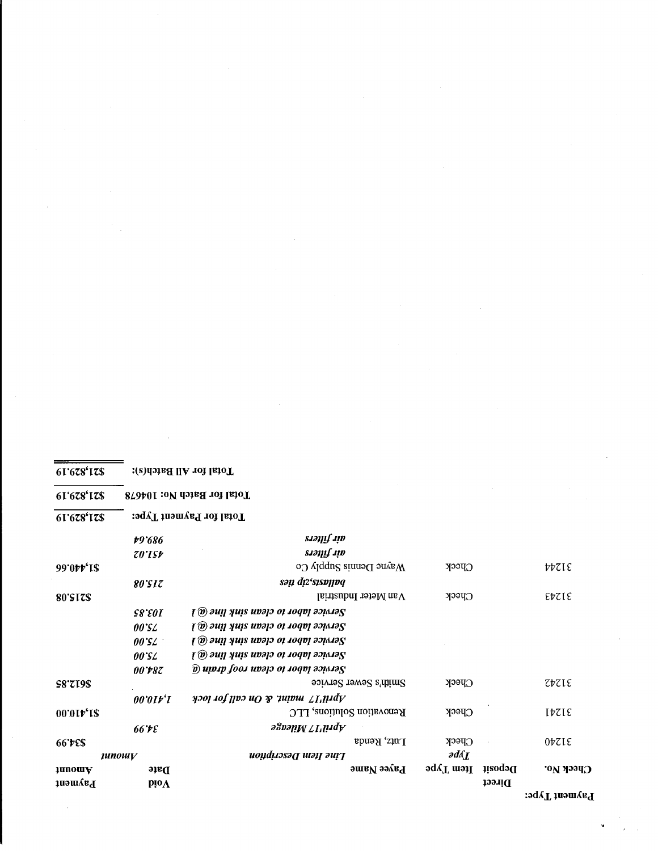| 61'678'17\$           |                     | Total for Batch No: 104678                                                                          |                       |         |                               |  |  |  |  |  |  |
|-----------------------|---------------------|-----------------------------------------------------------------------------------------------------|-----------------------|---------|-------------------------------|--|--|--|--|--|--|
| 61'678'17\$           |                     | Total for Payment Type:                                                                             |                       |         |                               |  |  |  |  |  |  |
|                       | t9'686              | air filters                                                                                         |                       |         |                               |  |  |  |  |  |  |
|                       | $\mathcal{Z}0$ 'ISF | air filters                                                                                         |                       |         |                               |  |  |  |  |  |  |
| 99'0tt'IS             |                     | $W$ ayne Dennis Supply Co                                                                           | $C$ peck              |         | PPSIE                         |  |  |  |  |  |  |
|                       | 80°SIZ              | sən dız'sısvılvq                                                                                    |                       |         |                               |  |  |  |  |  |  |
| 80'SIZ\$              |                     | Van Meter Industrial                                                                                | $C$ peck              |         | EbZIE                         |  |  |  |  |  |  |
|                       | <b>S8'EOI</b>       | $\mathfrak{g}$ outly and $\mathfrak{su}(n)$ and $\mathfrak{su}(n)$                                  |                       |         |                               |  |  |  |  |  |  |
|                       | $00^{\circ}$ SZ     | Service labor to clean sink line (a)                                                                |                       |         |                               |  |  |  |  |  |  |
|                       | $00^{\circ}$ SZ     | $\mathfrak{g}(\omega)$ and $\mathfrak{g}(\omega)$ and $\mathfrak{su}(n)$ and $\mathfrak{g}(\omega)$ |                       |         |                               |  |  |  |  |  |  |
|                       | 00°SL               | Service labor to clean sink line (a)                                                                |                       |         |                               |  |  |  |  |  |  |
|                       | <i>00*r87</i>       | $\widehat{p}$ uivip foot uvap oi toqv to $\widehat{p}$                                              |                       |         |                               |  |  |  |  |  |  |
| <b>S8'719\$</b>       |                     | Smith's Sewer Service                                                                               | $C$ peck              |         | $Z\nu ZL\epsilon$             |  |  |  |  |  |  |
|                       | 00'0If'I            | April'17 maint. & On call for lock                                                                  |                       |         |                               |  |  |  |  |  |  |
| 00'01r'1\$            |                     | Renovation Solutions, LLC                                                                           | $C$ peck              |         | $I\overline{VZ}I\overline{E}$ |  |  |  |  |  |  |
|                       | 66°ÞE               | Aprill TVileage                                                                                     |                       |         |                               |  |  |  |  |  |  |
| 66°05' 66             |                     | Lutz, Renda                                                                                         | <b>Check</b>          |         | $0\nu$ zie                    |  |  |  |  |  |  |
|                       | <i>unowv</i>        | Line Item Description                                                                               | $\partial d\Lambda_L$ |         |                               |  |  |  |  |  |  |
| anomA                 | Date                | Payee Name                                                                                          | Ltem Type             | Deposit | Среск Ио.                     |  |  |  |  |  |  |
| $\mathfrak{g}$ ayment | $pi\$               |                                                                                                     |                       | Direct  |                               |  |  |  |  |  |  |
|                       |                     |                                                                                                     |                       |         | Payment Type:                 |  |  |  |  |  |  |

Total for All Batch(s):

 $61'678'178$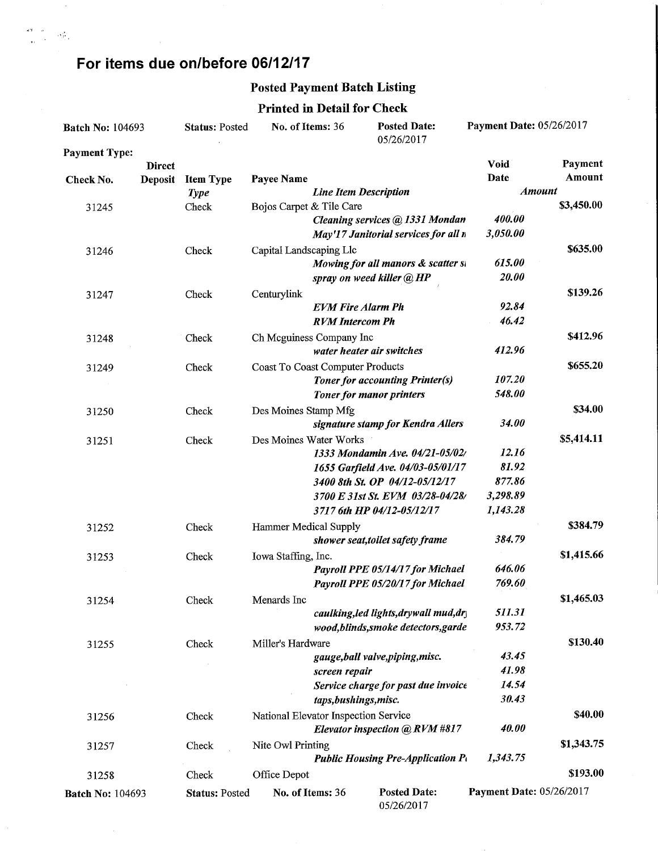# For items due on/before 06/12/17

 $\frac{\partial \mathcal{F}}{\partial x} = \frac{\partial \mathcal{F}}{\partial x} \left( \frac{\partial \mathcal{F}}{\partial x} \right)$ 

### Posted Payment Batch Listing

#### Printed in Detail for Check

| <b>Batch No: 104693</b> |               | <b>Status: Posted</b> | No. of Items: 36                     |                              | <b>Posted Date:</b><br>05/26/2017                                    | <b>Payment Date: 05/26/2017</b> |            |
|-------------------------|---------------|-----------------------|--------------------------------------|------------------------------|----------------------------------------------------------------------|---------------------------------|------------|
| <b>Payment Type:</b>    |               |                       |                                      |                              |                                                                      |                                 |            |
|                         | <b>Direct</b> |                       |                                      |                              |                                                                      | Void                            | Payment    |
| Check No.               | Deposit       | <b>Item Type</b>      | Payee Name                           |                              |                                                                      | Date<br><b>Amount</b>           | Amount     |
|                         |               | <b>Type</b>           | Bojos Carpet & Tile Care             | <b>Line Item Description</b> |                                                                      |                                 | \$3,450.00 |
| 31245                   |               | Check                 |                                      |                              | Cleaning services @ 1331 Mondan                                      | 400.00                          |            |
|                         |               |                       |                                      |                              | May'17 Janitorial services for all n                                 | 3,050.00                        |            |
|                         |               | Check                 | Capital Landscaping Llc              |                              |                                                                      |                                 | \$635.00   |
| 31246                   |               |                       |                                      |                              | Mowing for all manors & scatter st                                   | 615.00                          |            |
|                         |               |                       |                                      |                              | spray on weed killer @ HP                                            | 20.00                           |            |
| 31247                   |               | Check                 | Centurylink                          |                              |                                                                      |                                 | \$139.26   |
|                         |               |                       |                                      | <b>EVM Fire Alarm Ph</b>     |                                                                      | 92.84                           |            |
|                         |               |                       |                                      | <b>RVM</b> Intercom Ph       |                                                                      | 46.42                           |            |
| 31248                   |               | Check                 | Ch Mcguiness Company Inc             |                              |                                                                      |                                 | \$412.96   |
|                         |               |                       |                                      |                              | water heater air switches                                            | 412.96                          |            |
| 31249                   |               | Check                 | Coast To Coast Computer Products     |                              |                                                                      |                                 | \$655.20   |
|                         |               |                       |                                      |                              | <b>Toner for accounting Printer(s)</b>                               | 107.20                          |            |
|                         |               |                       |                                      |                              | <b>Toner for manor printers</b>                                      | 548.00                          |            |
| 31250                   |               | Check                 | Des Moines Stamp Mfg                 |                              |                                                                      |                                 | \$34.00    |
|                         |               |                       |                                      |                              | signature stamp for Kendra Allers                                    | 34.00                           |            |
| 31251                   |               | Check                 | Des Moines Water Works               |                              |                                                                      |                                 | \$5,414.11 |
|                         |               |                       |                                      |                              | 1333 Mondamin Ave. 04/21-05/02/                                      | 12.16                           |            |
|                         |               |                       |                                      |                              | 1655 Garfield Ave. 04/03-05/01/17                                    | 81.92                           |            |
|                         |               |                       |                                      |                              | 3400 8th St. OP 04/12-05/12/17                                       | 877.86                          |            |
|                         |               |                       |                                      |                              | 3700 E 31st St. EVM 03/28-04/28/                                     | 3,298.89                        |            |
|                         |               |                       |                                      |                              | 3717 6th HP 04/12-05/12/17                                           | 1,143.28                        |            |
| 31252                   |               | Check                 | Hammer Medical Supply                |                              |                                                                      |                                 | \$384.79   |
|                         |               |                       |                                      |                              | shower seat, toilet safety frame                                     | 384.79                          |            |
| 31253                   |               | Check                 | Iowa Staffing, Inc.                  |                              |                                                                      |                                 | \$1,415.66 |
|                         |               |                       |                                      |                              | Payroll PPE 05/14/17 for Michael<br>Payroll PPE 05/20/17 for Michael | 646.06<br>769.60                |            |
|                         |               |                       |                                      |                              |                                                                      |                                 | \$1,465.03 |
| 31254                   |               | Check                 | Menards Inc                          |                              | caulking, led lights, drywall mud, dry                               | 511.31                          |            |
|                         |               |                       |                                      |                              | wood, blinds, smoke detectors, garde                                 | 953.72                          |            |
|                         |               | Check                 | Miller's Hardware                    |                              |                                                                      |                                 | \$130.40   |
| 31255                   |               |                       |                                      |                              | gauge, ball valve, piping, misc.                                     | 43.45                           |            |
|                         |               |                       |                                      | screen repair                |                                                                      | 41.98                           |            |
|                         |               |                       |                                      |                              | Service charge for past due invoice                                  | 14.54                           |            |
|                         |               |                       |                                      | taps, bushings, misc.        |                                                                      | 30.43                           |            |
| 31256                   |               | Check                 | National Elevator Inspection Service |                              |                                                                      |                                 | \$40.00    |
|                         |               |                       |                                      |                              | Elevator inspection @ RVM #817                                       | 40.00                           |            |
| 31257                   |               | Check                 | Nite Owl Printing                    |                              |                                                                      |                                 | \$1,343.75 |
|                         |               |                       |                                      |                              | <b>Public Housing Pre-Application Pt</b>                             | 1,343.75                        |            |
| 31258                   |               | Check                 | Office Depot                         |                              |                                                                      |                                 | \$193.00   |
| <b>Batch No: 104693</b> |               | <b>Status: Posted</b> | No. of Items: 36                     |                              | <b>Posted Date:</b>                                                  | <b>Payment Date: 05/26/2017</b> |            |
|                         |               |                       |                                      |                              | 05/26/2017                                                           |                                 |            |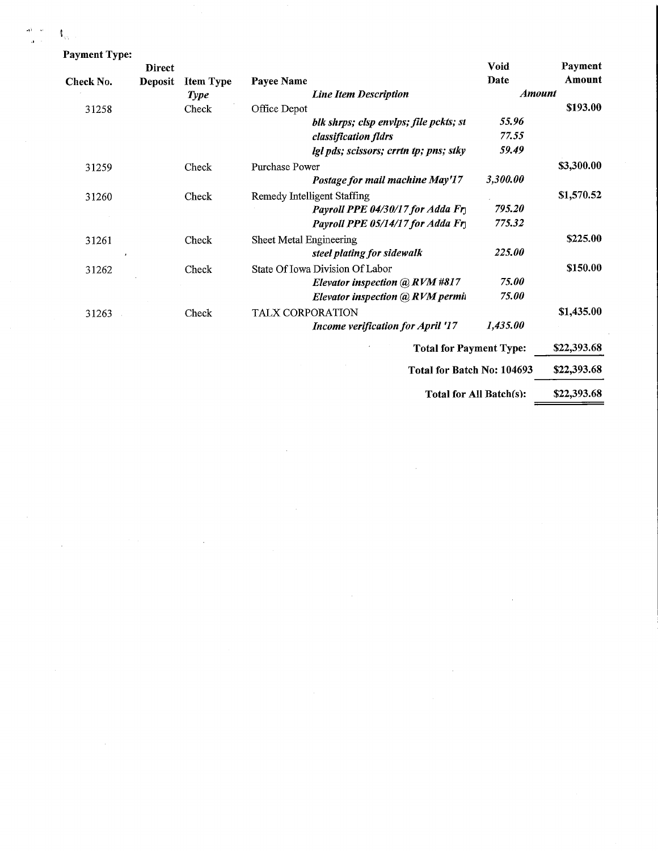$\mathbb{I}_{m}$ Pay

| <b>Payment Type:</b> |                |                  |                                          |                         |             |
|----------------------|----------------|------------------|------------------------------------------|-------------------------|-------------|
|                      | <b>Direct</b>  |                  |                                          | <b>Void</b>             | Payment     |
| Check No.            | <b>Deposit</b> | <b>Item Type</b> | Payee Name                               | Date                    | Amount      |
|                      |                | <b>Type</b>      | <b>Line Item Description</b>             | <b>Amount</b>           |             |
| 31258                |                | Check            | Office Depot                             |                         | \$193.00    |
|                      |                |                  | blk shrps; clsp envlps; file pckts; st   | 55.96                   |             |
|                      |                |                  | classification fldrs                     | 77.55                   |             |
|                      |                |                  | lgl pds; scissors; crrtn tp; pns; stky   | 59.49                   |             |
| 31259                |                | Check            | Purchase Power                           |                         | \$3,300.00  |
|                      |                |                  | Postage for mail machine May'17          | 3,300.00                |             |
| 31260                |                | Check            | Remedy Intelligent Staffing              |                         | \$1,570.52  |
|                      |                |                  | Payroll PPE 04/30/17 for Adda Fr         | 795.20                  |             |
|                      |                |                  | Payroll PPE 05/14/17 for Adda Fry        | 775.32                  |             |
| 31261                |                | Check            | Sheet Metal Engineering                  |                         | \$225.00    |
|                      |                |                  | steel plating for sidewalk               | 225.00                  |             |
| 31262                |                | Check            | State Of Iowa Division Of Labor          |                         | \$150.00    |
|                      |                |                  | Elevator inspection @ RVM #817           | 75.00                   |             |
|                      |                |                  | Elevator inspection @ RVM permit         | 75.00                   |             |
| 31263                |                | Check            | <b>TALX CORPORATION</b>                  |                         | \$1,435.00  |
|                      |                |                  | <b>Income verification for April '17</b> | 1,435.00                |             |
|                      |                |                  | <b>Total for Payment Type:</b>           |                         | \$22,393.68 |
|                      |                |                  |                                          |                         |             |
|                      |                |                  | Total for Batch No: 104693               |                         | \$22,393.68 |
|                      |                |                  |                                          | Total for All Batch(s): | \$22,393.68 |

 $\sim 10^6$ 

 $\sim 10^{11}$ 

 $\mathcal{L}^{\text{max}}_{\text{max}}$ 

 $\sim$ 

 $\mathcal{L}^{\text{max}}_{\text{max}}$ 

 $\mathcal{L}^{\text{max}}_{\text{max}}$  and  $\mathcal{L}^{\text{max}}_{\text{max}}$ 

 $\label{eq:2.1} \frac{1}{2}\sum_{i=1}^n\frac{1}{2}\sum_{i=1}^n\frac{1}{2}\sum_{i=1}^n\frac{1}{2}\sum_{i=1}^n\frac{1}{2}\sum_{i=1}^n\frac{1}{2}\sum_{i=1}^n\frac{1}{2}\sum_{i=1}^n\frac{1}{2}\sum_{i=1}^n\frac{1}{2}\sum_{i=1}^n\frac{1}{2}\sum_{i=1}^n\frac{1}{2}\sum_{i=1}^n\frac{1}{2}\sum_{i=1}^n\frac{1}{2}\sum_{i=1}^n\frac{1}{2}\sum_{i=1}^n\$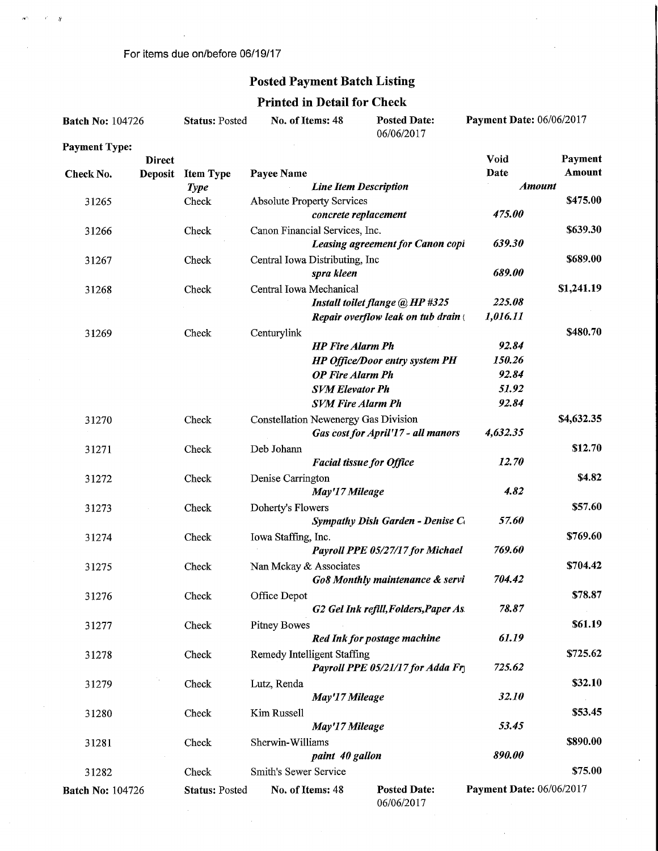For items due on/before 06/19/17

 $\mathcal{F}=\mathfrak{g}$ 

 $\sim 5$ 

## Posted Payment Batch Listing

### Printed in Detail for Check

| <b>Batch No: 104726</b> |                                 | <b>Status: Posted</b> | No. of Items: 48                            | <b>Posted Date:</b><br>06/06/2017 |                                                                        | <b>Payment Date: 06/06/2017</b> |            |
|-------------------------|---------------------------------|-----------------------|---------------------------------------------|-----------------------------------|------------------------------------------------------------------------|---------------------------------|------------|
| <b>Payment Type:</b>    |                                 |                       |                                             |                                   |                                                                        | Void                            | Payment    |
| Check No.               | <b>Direct</b><br><b>Deposit</b> | <b>Item Type</b>      | Payee Name                                  |                                   |                                                                        | Date                            | Amount     |
|                         |                                 | <b>Type</b>           |                                             | <b>Line Item Description</b>      |                                                                        |                                 | Amount     |
| 31265                   |                                 | Check                 | <b>Absolute Property Services</b>           |                                   |                                                                        |                                 | \$475.00   |
|                         |                                 |                       |                                             | concrete replacement              |                                                                        | 475.00                          |            |
| 31266                   |                                 | Check                 | Canon Financial Services, Inc.              |                                   |                                                                        |                                 | \$639.30   |
|                         |                                 |                       |                                             |                                   | Leasing agreement for Canon copi                                       | 639.30                          |            |
| 31267                   |                                 | Check                 | Central Iowa Distributing, Inc              |                                   |                                                                        |                                 | \$689.00   |
|                         |                                 |                       |                                             | spra kleen                        |                                                                        | 689.00                          |            |
| 31268                   |                                 | Check                 | Central Iowa Mechanical                     |                                   |                                                                        |                                 | \$1,241.19 |
|                         |                                 |                       |                                             |                                   | Install toilet flange @ HP #325<br>Repair overflow leak on tub drain ( | 225.08<br>1,016.11              |            |
|                         |                                 | Check                 | Centurylink                                 |                                   |                                                                        |                                 | \$480.70   |
| 31269                   |                                 |                       |                                             | <b>HP</b> Fire Alarm Ph           |                                                                        | 92.84                           |            |
|                         |                                 |                       |                                             |                                   | HP Office/Door entry system PH                                         | 150.26                          |            |
|                         |                                 |                       |                                             | <b>OP Fire Alarm Ph</b>           |                                                                        | 92.84                           |            |
|                         |                                 |                       |                                             | <b>SVM Elevator Ph</b>            |                                                                        | 51.92                           |            |
|                         |                                 |                       |                                             | <b>SVM Fire Alarm Ph</b>          |                                                                        | 92.84                           |            |
| 31270                   |                                 | Check                 | <b>Constellation Newenergy Gas Division</b> |                                   |                                                                        |                                 | \$4,632.35 |
|                         |                                 |                       |                                             |                                   | Gas cost for April'17 - all manors                                     | 4,632.35                        |            |
| 31271                   |                                 | Check                 | Deb Johann                                  |                                   |                                                                        |                                 | \$12.70    |
|                         |                                 |                       |                                             | <b>Facial tissue for Office</b>   |                                                                        | 12.70                           |            |
| 31272                   |                                 | Check                 | Denise Carrington                           |                                   |                                                                        |                                 | \$4.82     |
|                         |                                 |                       |                                             | May'17 Mileage                    |                                                                        | 4.82                            |            |
| 31273                   |                                 | Check                 | Doherty's Flowers                           |                                   | Sympathy Dish Garden - Denise Co                                       | 57.60                           | \$57.60    |
|                         |                                 | Check                 | Iowa Staffing, Inc.                         |                                   |                                                                        |                                 | \$769.60   |
| 31274                   |                                 |                       |                                             |                                   | Payroll PPE 05/27/17 for Michael                                       | 769.60                          |            |
| 31275                   |                                 | Check                 | Nan Mckay & Associates                      |                                   |                                                                        |                                 | \$704.42   |
|                         |                                 |                       |                                             |                                   | Go8 Monthly maintenance & servi                                        | 704.42                          |            |
| 31276                   |                                 | Check                 | Office Depot                                |                                   |                                                                        |                                 | \$78.87    |
|                         |                                 |                       |                                             |                                   | G2 Gel Ink refill, Folders, Paper As                                   | 78.87                           |            |
| 31277                   |                                 | Check                 | <b>Pitney Bowes</b>                         |                                   |                                                                        |                                 | \$61.19    |
|                         |                                 |                       |                                             |                                   | Red Ink for postage machine                                            | 61.19                           |            |
| 31278                   |                                 | Check                 | Remedy Intelligent Staffing                 |                                   |                                                                        |                                 | \$725.62   |
|                         |                                 |                       |                                             |                                   | Payroll PPE 05/21/17 for Adda Fr                                       | 725.62                          |            |
| 31279                   |                                 | Check                 | Lutz, Renda                                 |                                   |                                                                        |                                 | \$32.10    |
|                         |                                 |                       |                                             | May'17 Mileage                    |                                                                        | 32.10                           |            |
| 31280                   |                                 | Check                 | Kim Russell                                 |                                   |                                                                        | 53.45                           | \$53.45    |
|                         |                                 |                       | Sherwin-Williams                            | May'17 Mileage                    |                                                                        |                                 | \$890.00   |
| 31281                   |                                 | Check                 |                                             | paint 40 gallon                   |                                                                        | 890.00                          |            |
| 31282                   |                                 | Check                 | Smith's Sewer Service                       |                                   |                                                                        |                                 | \$75.00    |
|                         |                                 |                       | No. of Items: 48                            |                                   | <b>Posted Date:</b>                                                    | Payment Date: 06/06/2017        |            |
| <b>Batch No: 104726</b> |                                 | <b>Status: Posted</b> |                                             |                                   | 06/06/2017                                                             |                                 |            |